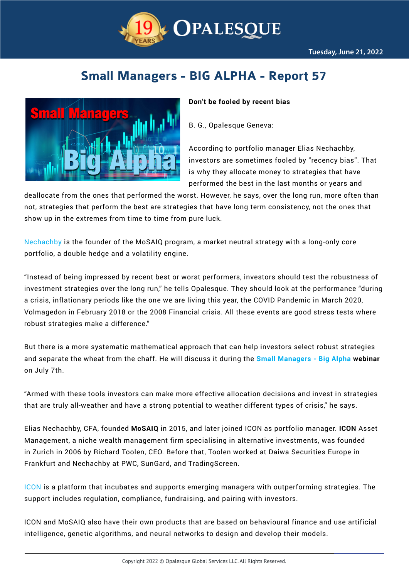

# **Small Managers - BIG ALPHA - Report 57**



### **Don't be fooled by recent bias**

B. G., Opalesque Geneva:

According to portfolio manager Elias Nechachby, investors are sometimes fooled by "recency bias". That is why they allocate money to strategies that have performed the best in the last months or years and

deallocate from the ones that performed the worst. However, he says, over the long run, more often than not, strategies that perform the best are strategies that have long term consistency, not the ones that show up in the extremes from time to time from pure luck.

[Nechachby](https://www.iconasset.com/the-team) is the founder of the MoSAIQ program, a market neutral strategy with a long-only core portfolio, a double hedge and a volatility engine.

"Instead of being impressed by recent best or worst performers, investors should test the robustness of investment strategies over the long run," he tells Opalesque. They should look at the performance "during a crisis, inflationary periods like the one we are living this year, the COVID Pandemic in March 2020, Volmagedon in February 2018 or the 2008 Financial crisis. All these events are good stress tests where robust strategies make a difference."

But there is a more systematic mathematical approach that can help investors select robust strategies and separate the wheat from the chaff. He will discuss it during the **[Small Managers - Big Alpha](https://www.opalesque.com/webinar/) webinar** on July 7th.

"Armed with these tools investors can make more effective allocation decisions and invest in strategies that are truly all-weather and have a strong potential to weather different types of crisis," he says.

Elias Nechachby, CFA, founded **MoSAIQ** in 2015, and later joined ICON as portfolio manager. **ICON** Asset Management, a niche wealth management firm specialising in alternative investments, was founded in Zurich in 2006 by Richard Toolen, CEO. Before that, Toolen worked at Daiwa Securities Europe in Frankfurt and Nechachby at PWC, SunGard, and TradingScreen.

[ICON](https://www.iconasset.com/about) is a platform that incubates and supports emerging managers with outperforming strategies. The support includes regulation, compliance, fundraising, and pairing with investors.

ICON and MoSAIQ also have their own products that are based on behavioural finance and use artificial intelligence, genetic algorithms, and neural networks to design and develop their models.